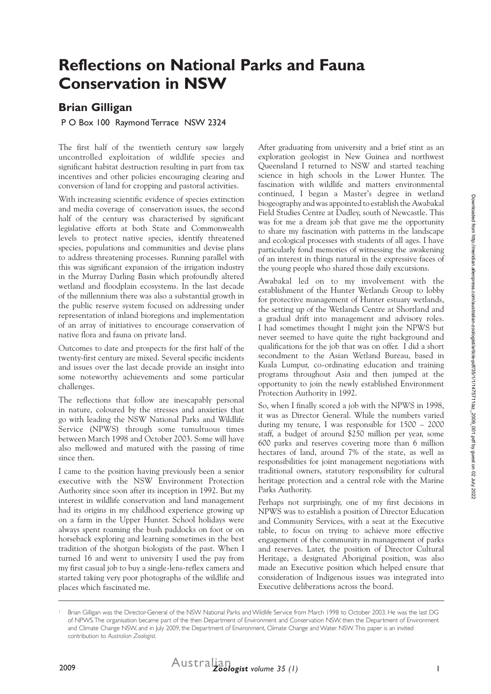# **Reflections on National Parks and Fauna Conservation in NSW**

# **Brian Gilligan**

#### P O Box 100 Raymond Terrace NSW 2324

The first half of the twentieth century saw largely uncontrolled exploitation of wildlife species and significant habitat destruction resulting in part from tax incentives and other policies encouraging clearing and conversion of land for cropping and pastoral activities.

With increasing scientific evidence of species extinction and media coverage of conservation issues, the second half of the century was characterised by significant legislative efforts at both State and Commonwealth levels to protect native species, identify threatened species, populations and communities and devise plans to address threatening processes. Running parallel with this was significant expansion of the irrigation industry in the Murray Darling Basin which profoundly altered wetland and floodplain ecosystems. In the last decade of the millennium there was also a substantial growth in the public reserve system focused on addressing under representation of inland bioregions and implementation of an array of initiatives to encourage conservation of native flora and fauna on private land.

Outcomes to date and prospects for the first half of the twenty-first century are mixed. Several specific incidents and issues over the last decade provide an insight into some noteworthy achievements and some particular challenges.

The reflections that follow are inescapably personal in nature, coloured by the stresses and anxieties that go with leading the NSW National Parks and Wildlife Service (NPWS) through some tumultuous times between March 1998 and October 2003. Some will have also mellowed and matured with the passing of time since then.

I came to the position having previously been a senior executive with the NSW Environment Protection Authority since soon after its inception in 1992. But my interest in wildlife conservation and land management had its origins in my childhood experience growing up on a farm in the Upper Hunter. School holidays were always spent roaming the bush paddocks on foot or on horseback exploring and learning sometimes in the best tradition of the shotgun biologists of the past. When I turned 16 and went to university I used the pay from my first casual job to buy a single-lens-reflex camera and started taking very poor photographs of the wildlife and places which fascinated me.

After graduating from university and a brief stint as an exploration geologist in New Guinea and northwest Queensland I returned to NSW and started teaching science in high schools in the Lower Hunter. The fascination with wildlife and matters environmental continued, I began a Master's degree in wetland biogeography and was appointed to establish the Awabakal Field Studies Centre at Dudley, south of Newcastle. This was for me a dream job that gave me the opportunity to share my fascination with patterns in the landscape and ecological processes with students of all ages. I have particularly fond memories of witnessing the awakening of an interest in things natural in the expressive faces of the young people who shared those daily excursions.

Awabakal led on to my involvement with the establishment of the Hunter Wetlands Group to lobby for protective management of Hunter estuary wetlands, the setting up of the Wetlands Centre at Shortland and a gradual drift into management and advisory roles. I had sometimes thought I might join the NPWS but never seemed to have quite the right background and qualifications for the job that was on offer. I did a short secondment to the Asian Wetland Bureau, based in Kuala Lumpur, co-ordinating education and training programs throughout Asia and then jumped at the opportunity to join the newly established Environment Protection Authority in 1992.

So, when I finally scored a job with the NPWS in 1998, it was as Director General. While the numbers varied during my tenure, I was responsible for 1500 – 2000 staff, a budget of around \$250 million per year, some 600 parks and reserves covering more than 6 million hectares of land, around 7% of the state, as well as responsibilities for joint management negotiations with traditional owners, statutory responsibility for cultural heritage protection and a central role with the Marine Parks Authority.

Perhaps not surprisingly, one of my first decisions in NPWS was to establish a position of Director Education and Community Services, with a seat at the Executive table, to focus on trying to achieve more effective engagement of the community in management of parks and reserves. Later, the position of Director Cultural Heritage, a designated Aboriginal position, was also made an Executive position which helped ensure that consideration of Indigenous issues was integrated into Executive deliberations across the board.

<sup>1</sup> Brian Gilligan was the Director-General of the NSW National Parks and Wildlife Service from March 1998 to October 2003. He was the last DG of NPWS. The organisation became part of the then Department of Environment and Conservation NSW, then the Department of Environment and Climate Change NSW, and in July 2009, the Department of Environment, Climate Change and Water NSW. This paper is an invited contribution to *Australian Zoologist.*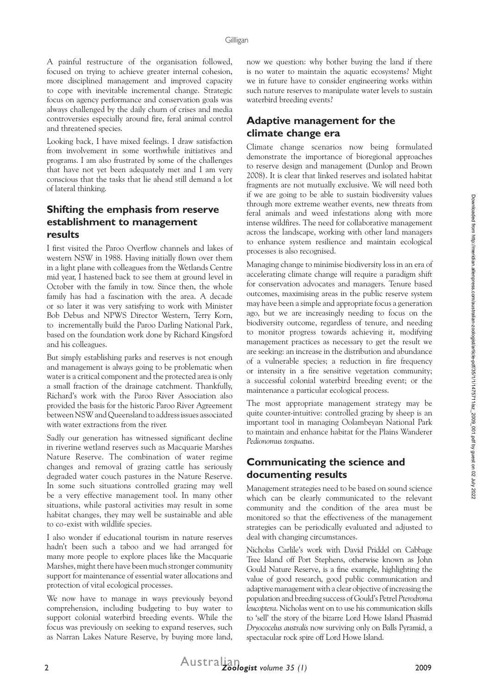A painful restructure of the organisation followed, focused on trying to achieve greater internal cohesion, more disciplined management and improved capacity to cope with inevitable incremental change. Strategic focus on agency performance and conservation goals was always challenged by the daily churn of crises and media controversies especially around fire, feral animal control and threatened species.

Looking back, I have mixed feelings. I draw satisfaction from involvement in some worthwhile initiatives and programs. I am also frustrated by some of the challenges that have not yet been adequately met and I am very conscious that the tasks that lie ahead still demand a lot of lateral thinking.

#### **Shifting the emphasis from reserve establishment to management results**

I first visited the Paroo Overflow channels and lakes of western NSW in 1988. Having initially flown over them in a light plane with colleagues from the Wetlands Centre mid year, I hastened back to see them at ground level in October with the family in tow. Since then, the whole family has had a fascination with the area. A decade or so later it was very satisfying to work with Minister Bob Debus and NPWS Director Western, Terry Korn, to incrementally build the Paroo Darling National Park, based on the foundation work done by Richard Kingsford and his colleagues.

But simply establishing parks and reserves is not enough and management is always going to be problematic when water is a critical component and the protected area is only a small fraction of the drainage catchment. Thankfully, Richard's work with the Paroo River Association also provided the basis for the historic Paroo River Agreement between NSW and Queensland to address issues associated with water extractions from the river.

Sadly our generation has witnessed significant decline in riverine wetland reserves such as Macquarie Marshes Nature Reserve. The combination of water regime changes and removal of grazing cattle has seriously degraded water couch pastures in the Nature Reserve. In some such situations controlled grazing may well be a very effective management tool. In many other situations, while pastoral activities may result in some habitat changes, they may well be sustainable and able to co-exist with wildlife species.

I also wonder if educational tourism in nature reserves hadn't been such a taboo and we had arranged for many more people to explore places like the Macquarie Marshes, might there have been much stronger community support for maintenance of essential water allocations and protection of vital ecological processes.

We now have to manage in ways previously beyond comprehension, including budgeting to buy water to support colonial waterbird breeding events. While the focus was previously on seeking to expand reserves, such as Narran Lakes Nature Reserve, by buying more land,

now we question: why bother buying the land if there is no water to maintain the aquatic ecosystems? Might we in future have to consider engineering works within such nature reserves to manipulate water levels to sustain waterbird breeding events?

#### **Adaptive management for the climate change era**

Climate change scenarios now being formulated demonstrate the importance of bioregional approaches to reserve design and management (Dunlop and Brown 2008). It is clear that linked reserves and isolated habitat fragments are not mutually exclusive. We will need both if we are going to be able to sustain biodiversity values through more extreme weather events, new threats from feral animals and weed infestations along with more intense wildfires. The need for collaborative management across the landscape, working with other land managers to enhance system resilience and maintain ecological processes is also recognised.

Managing change to minimise biodiversity loss in an era of accelerating climate change will require a paradigm shift for conservation advocates and managers. Tenure based outcomes, maximising areas in the public reserve system may have been a simple and appropriate focus a generation ago, but we are increasingly needing to focus on the biodiversity outcome, regardless of tenure, and needing to monitor progress towards achieving it, modifying management practices as necessary to get the result we are seeking: an increase in the distribution and abundance of a vulnerable species; a reduction in fire frequency or intensity in a fire sensitive vegetation community; a successful colonial waterbird breeding event; or the maintenance a particular ecological process.

The most appropriate management strategy may be quite counter-intuitive: controlled grazing by sheep is an important tool in managing Oolambeyan National Park to maintain and enhance habitat for the Plains Wanderer *Pedionomus torquatus*.

#### **Communicating the science and documenting results**

Management strategies need to be based on sound science which can be clearly communicated to the relevant community and the condition of the area must be monitored so that the effectiveness of the management strategies can be periodically evaluated and adjusted to deal with changing circumstances.

Nicholas Carlile's work with David Priddel on Cabbage Tree Island off Port Stephens, otherwise known as John Gould Nature Reserve, is a fine example, highlighting the value of good research, good public communication and adaptive management with a clear objective of increasing the population and breeding success of Gould's Petrel *Pterodroma leucoptera*. Nicholas went on to use his communication skills to 'sell' the story of the bizarre Lord Howe Island Phasmid *Dryococelus australis* now surviving only on Balls Pyramid, a spectacular rock spire off Lord Howe Island.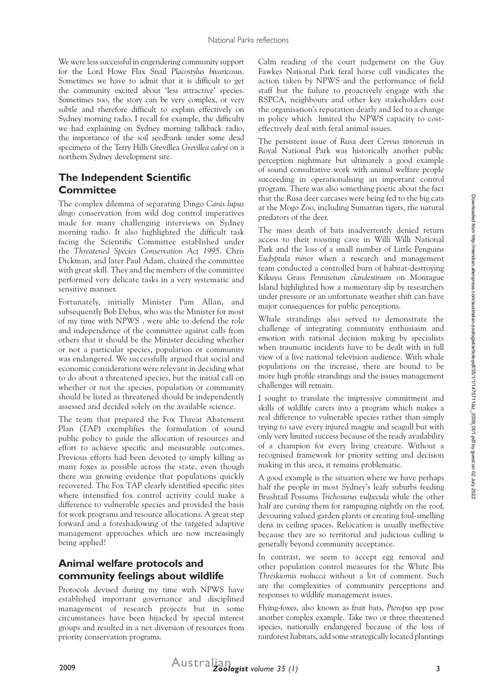We were less successful in engendering community support for the Lord Howe Flax Snail *Placostylus bivaricosus*. Sometimes we have to admit that it is difficult to get the community excited about 'less attractive' species. Sometimes too, the story can be very complex, or very subtle and therefore difficult to explain effectively on Sydney morning radio. I recall for example, the difficulty we had explaining on Sydney morning talkback radio, the importance of the soil seedbank under some dead specimens of the Terry Hills Grevillea *Grevillea caleyi* on a northern Sydney development site.

#### **The Independent Scientific Committee**

The complex dilemma of separating Dingo *Canis lupus dingo* conservation from wild dog control imperatives made for many challenging interviews on Sydney morning radio. It also highlighted the difficult task facing the Scientific Committee established under the *Threatened Species Conservation Act 1995*. Chris Dickman, and later Paul Adam, chaired the committee with great skill. They and the members of the committee performed very delicate tasks in a very systematic and sensitive manner.

Fortunately, initially Minister Pam Allan, and subsequently Bob Debus, who was the Minister for most of my time with NPWS , were able to defend the role and independence of the committee against calls from others that it should be the Minister deciding whether or not a particular species, population or community was endangered. We successfully argued that social and economic considerations were relevant in deciding what to do about a threatened species, but the initial call on whether or not the species, population or community should be listed as threatened should be independently assessed and decided solely on the available science.

The team that prepared the Fox Threat Abatement Plan (TAP) exemplifies the formulation of sound public policy to guide the allocation of resources and effort to achieve specific and measurable outcomes. Previous efforts had been devoted to simply killing as many foxes as possible across the state, even though there was growing evidence that populations quickly recovered. The Fox TAP clearly identified specific sites where intensified fox control activity could make a difference to vulnerable species and provided the basis for work programs and resource allocations. A great step forward and a foreshadowing of the targeted adaptive management approaches which are now increasingly being applied!

#### **Animal welfare protocols and community feelings about wildlife**

Protocols devised during my time with NPWS have established important governance and disciplined management of research projects but in some circumstances have been hijacked by special interest groups and resulted in a net diversion of resources from priority conservation programs.

Calm reading of the court judgement on the Guy Fawkes National Park feral horse cull vindicates the action taken by NPWS and the performance of field staff but the failure to proactively engage with the RSPCA, neighbours and other key stakeholders cost the organisation's reputation dearly and led to a change in policy which limited the NPWS capacity to costeffectively deal with feral animal issues.

The persistent issue of Rusa deer *Cervus timorensis* in Royal National Park was historically another public perception nightmare but ultimately a good example of sound consultative work with animal welfare people succeeding in operationalising an important control program. There was also something poetic about the fact that the Rusa deer carcases were being fed to the big cats at the Mogo Zoo, including Sumatran tigers, the natural predators of the deer.

The mass death of bats inadvertently denied return access to their roosting cave in Willi Willi National Park and the loss of a small number of Little Penguins *Eudyptula minor* when a research and management team conducted a controlled burn of habitat-destroying Kikuyu Grass *Pennisetum clandestinum* on Montague Island highlighted how a momentary slip by researchers under pressure or an unfortunate weather shift can have major consequences for public perceptions.

Whale strandings also served to demonstrate the challenge of integrating community enthusiasm and emotion with rational decision making by specialists when traumatic incidents have to be dealt with in full view of a live national television audience. With whale populations on the increase, there are bound to be more high profile strandings and the issues management challenges will remain.

I sought to translate the impressive commitment and skills of wildlife carers into a program which makes a real difference to vulnerable species rather than simply trying to save every injured magpie and seagull but with only very limited success because of the ready availability of a champion for every living creature. Without a recognised framework for priority setting and decision making in this area, it remains problematic.

A good example is the situation where we have perhaps half the people in most Sydney's leafy suburbs feeding Brushtail Possums *Trichosurus vulpecula* while the other half are cursing them for rampaging nightly on the roof, devouring valued garden plants or creating foul-smelling dens in ceiling spaces. Relocation is usually ineffective because they are so territorial and judicious culling is generally beyond community acceptance.

In contrast, we seem to accept egg removal and other population control measures for the White Ibis *Threskiornis molucca* without a lot of comment. Such are the complexities of community perceptions and responses to wildlife management issues.

Flying-foxes, also known as fruit bats, *Pteropus* spp pose another complex example. Take two or three threatened species, nationally endangered because of the loss of rainforest habitats, add some strategically located plantings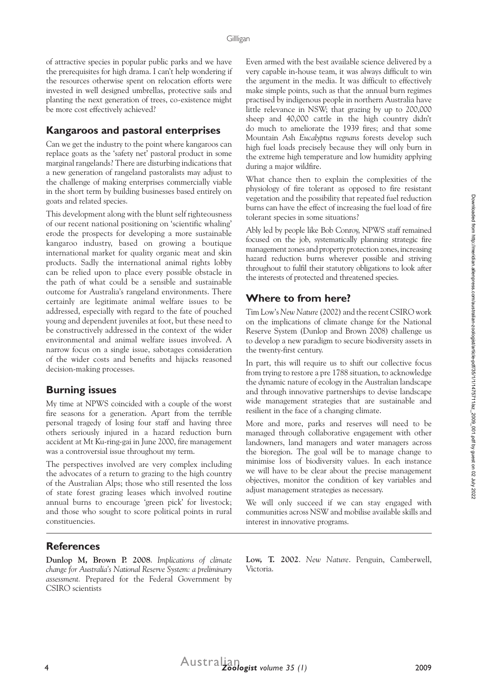of attractive species in popular public parks and we have the prerequisites for high drama. I can't help wondering if the resources otherwise spent on relocation efforts were invested in well designed umbrellas, protective sails and planting the next generation of trees, co-existence might be more cost effectively achieved?

#### **Kangaroos and pastoral enterprises**

Can we get the industry to the point where kangaroos can replace goats as the 'safety net' pastoral product in some marginal rangelands? There are disturbing indications that a new generation of rangeland pastoralists may adjust to the challenge of making enterprises commercially viable in the short term by building businesses based entirely on goats and related species.

This development along with the blunt self righteousness of our recent national positioning on 'scientific whaling' erode the prospects for developing a more sustainable kangaroo industry, based on growing a boutique international market for quality organic meat and skin products. Sadly the international animal rights lobby can be relied upon to place every possible obstacle in the path of what could be a sensible and sustainable outcome for Australia's rangeland environments. There certainly are legitimate animal welfare issues to be addressed, especially with regard to the fate of pouched young and dependent juveniles at foot, but these need to be constructively addressed in the context of the wider environmental and animal welfare issues involved. A narrow focus on a single issue, sabotages consideration of the wider costs and benefits and hijacks reasoned decision-making processes.

#### **Burning issues**

My time at NPWS coincided with a couple of the worst fire seasons for a generation. Apart from the terrible personal tragedy of losing four staff and having three others seriously injured in a hazard reduction burn accident at Mt Ku-ring-gai in June 2000, fire management was a controversial issue throughout my term.

The perspectives involved are very complex including the advocates of a return to grazing to the high country of the Australian Alps; those who still resented the loss of state forest grazing leases which involved routine annual burns to encourage 'green pick' for livestock; and those who sought to score political points in rural constituencies.

Even armed with the best available science delivered by a very capable in-house team, it was always difficult to win the argument in the media. It was difficult to effectively make simple points, such as that the annual burn regimes practised by indigenous people in northern Australia have little relevance in NSW; that grazing by up to 200,000 sheep and 40,000 cattle in the high country didn't do much to ameliorate the 1939 fires; and that some Mountain Ash *Eucalyptus regnans* forests develop such high fuel loads precisely because they will only burn in the extreme high temperature and low humidity applying during a major wildfire.

What chance then to explain the complexities of the physiology of fire tolerant as opposed to fire resistant vegetation and the possibility that repeated fuel reduction burns can have the effect of increasing the fuel load of fire tolerant species in some situations?

Ably led by people like Bob Conroy, NPWS staff remained focused on the job, systematically planning strategic fire management zones and property protection zones, increasing hazard reduction burns wherever possible and striving throughout to fulfil their statutory obligations to look after the interests of protected and threatened species.

## **Where to from here?**

Tim Low's *New Nature* (2002) and the recent CSIRO work on the implications of climate change for the National Reserve System (Dunlop and Brown 2008) challenge us to develop a new paradigm to secure biodiversity assets in the twenty-first century.

In part, this will require us to shift our collective focus from trying to restore a pre 1788 situation, to acknowledge the dynamic nature of ecology in the Australian landscape and through innovative partnerships to devise landscape wide management strategies that are sustainable and resilient in the face of a changing climate.

More and more, parks and reserves will need to be managed through collaborative engagement with other landowners, land managers and water managers across the bioregion. The goal will be to manage change to minimise loss of biodiversity values. In each instance we will have to be clear about the precise management objectives, monitor the condition of key variables and adjust management strategies as necessary.

We will only succeed if we can stay engaged with communities across NSW and mobilise available skills and interest in innovative programs.

### **References**

**Dunlop M, Brown P. 2008**. *Implications of climate change for Australia's National Reserve System: a preliminary assessment.* Prepared for the Federal Government by CSIRO scientists

**Low, T. 2002**. *New Nature*. Penguin, Camberwell, Victoria.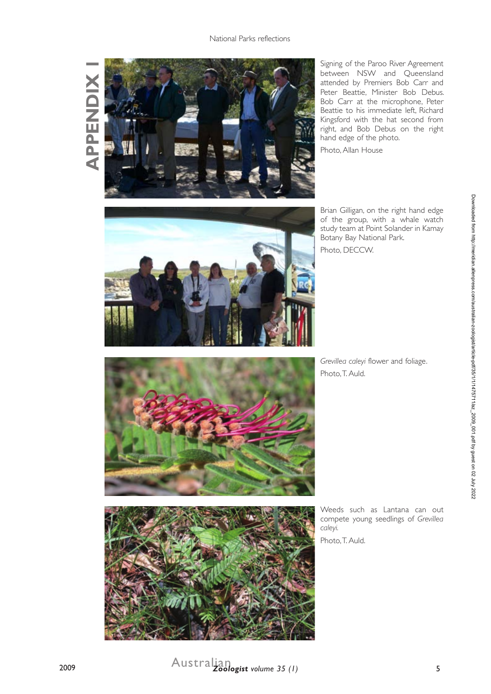**APPENDIX 1 APPENDIX** 



Signing of the Paroo River Agreement between NSW and Queensland attended by Premiers Bob Carr and Peter Beattie, Minister Bob Debus. Bob Carr at the microphone, Peter Beattie to his immediate left, Richard Kingsford with the hat second from right, and Bob Debus on the right hand edge of the photo.

Photo, Allan House



Brian Gilligan, on the right hand edge of the group, with a whale watch study team at Point Solander in Kamay Botany Bay National Park. Photo, DECCW.

*Grevillea caleyi* flower and foliage. Photo, T. Auld.



Weeds such as Lantana can out compete young seedlings of *Grevillea caleyi.*

Photo, T. Auld.

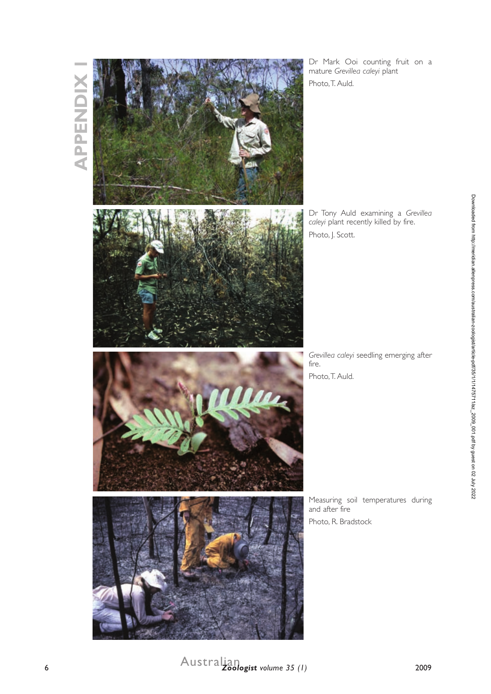

Dr Mark Ooi counting fruit on a mature *Grevillea caleyi* plant Photo, T. Auld.

Dr Tony Auld examining a *Grevillea caleyi* plant recently killed by fire. Photo, J. Scott.

*Grevillea caleyi* seedling emerging after fire. Photo, T. Auld.

Measuring soil temperatures during and after fire Photo, R. Bradstock

Downloaded from http://meridian.allenpress.com/australian-zoologist/article-pdf/35/11/1475711/laz\_2009\_001.pdf by guest on 02 July 2022 Downloaded from http://meridian.allenpress.com/australian-zoologist/article-pdf/35/1/1475711/az\_2009\_001.pdf by guest on 02 July 2022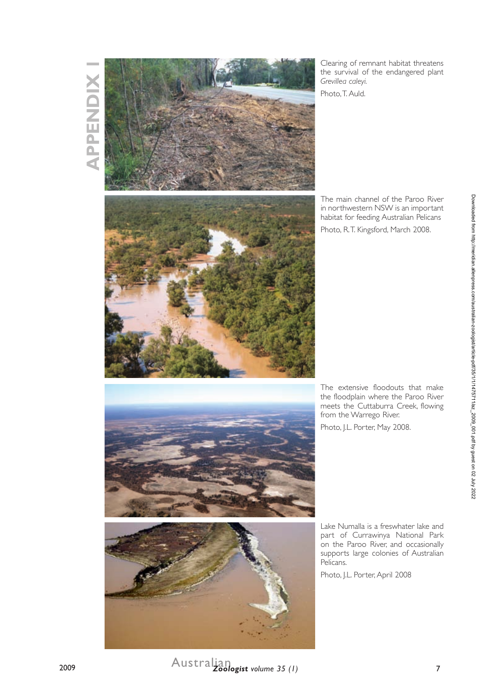# **APPENDIX 1 APPENDIX**



Clearing of remnant habitat threatens the survival of the endangered plant *Grevillea caleyi.*

Photo, T. Auld.

The main channel of the Paroo River in northwestern NSW is an important habitat for feeding Australian Pelicans Photo, R.T. Kingsford, March 2008.

The extensive floodouts that make the floodplain where the Paroo River meets the Cuttaburra Creek, flowing from the Warrego River.

Photo, J.L. Porter, May 2008.

Lake Numalla is a freswhater lake and part of Currawinya National Park on the Paroo River, and occasionally supports large colonies of Australian Pelicans.

Photo, J.L. Porter, April 2008